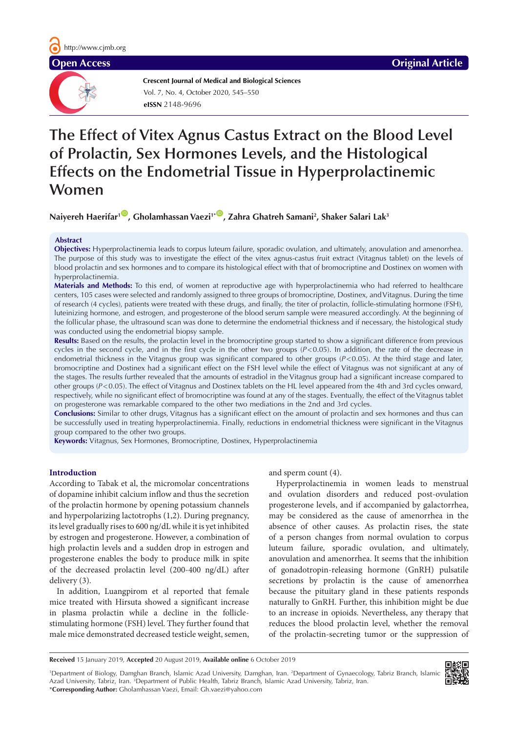

**Crescent Journal of Medical and Biological Sciences eISSN** 2148-9696 Vol. 7, No. 4, October 2020, 545–550

# **The Effect of Vitex Agnus Castus Extract on the Blood Level of Prolactin, Sex Hormones Levels, and the Histological Effects on the Endometrial Tissue in Hyperprolactinemic**

**Women** 

 $N$ aiyereh Haerifar<sup>100</sup>, Gholamhassan Vaezi<sup>1+00</sup>, Zahra Ghatreh Samani<sup>2</sup>, Shaker Salari Lak<sup>3</sup>

# **Abstract**

**Objectives:** Hyperprolactinemia leads to corpus luteum failure, sporadic ovulation, and ultimately, anovulation and amenorrhea. The purpose of this study was to investigate the effect of the vitex agnus-castus fruit extract (Vitagnus tablet) on the levels of blood prolactin and sex hormones and to compare its histological effect with that of bromocriptine and Dostinex on women with hyperprolactinemia.

**Materials and Methods:** To this end, of women at reproductive age with hyperprolactinemia who had referred to healthcare centers, 105 cases were selected and randomly assigned to three groups of bromocriptine, Dostinex, and Vitagnus. During the time of research (4 cycles), patients were treated with these drugs, and finally, the titer of prolactin, follicle-stimulating hormone (FSH), luteinizing hormone, and estrogen, and progesterone of the blood serum sample were measured accordingly. At the beginning of the follicular phase, the ultrasound scan was done to determine the endometrial thickness and if necessary, the histological study was conducted using the endometrial biopsy sample.

**Results:** Based on the results, the prolactin level in the bromocriptine group started to show a significant difference from previous cycles in the second cycle, and in the first cycle in the other two groups (*P*<0.05). In addition, the rate of the decrease in endometrial thickness in the Vitagnus group was significant compared to other groups (*P*<0.05). At the third stage and later, bromocriptine and Dostinex had a significant effect on the FSH level while the effect of Vitagnus was not significant at any of the stages. The results further revealed that the amounts of estradiol in the Vitagnus group had a significant increase compared to other groups (*P*<0.05). The effect of Vitagnus and Dostinex tablets on the HL level appeared from the 4th and 3rd cycles onward, respectively, while no significant effect of bromocriptine was found at any of the stages. Eventually, the effect of the Vitagnus tablet on progesterone was remarkable compared to the other two mediations in the 2nd and 3rd cycles.

**Conclusions:** Similar to other drugs, Vitagnus has a significant effect on the amount of prolactin and sex hormones and thus can be successfully used in treating hyperprolactinemia. Finally, reductions in endometrial thickness were significant in the Vitagnus group compared to the other two groups.

**Keywords:** Vitagnus, Sex Hormones, Bromocriptine, Dostinex, Hyperprolactinemia

# **Introduction**

According to Tabak et al, the micromolar concentrations of dopamine inhibit calcium inflow and thus the secretion of the prolactin hormone by opening potassium channels and hyperpolarizing lactotrophs (1,2). During pregnancy, its level gradually rises to 600 ng/dL while it is yet inhibited by estrogen and progesterone. However, a combination of high prolactin levels and a sudden drop in estrogen and progesterone enables the body to produce milk in spite of the decreased prolactin level (200-400 ng/dL) after delivery (3).

In addition, Luangpirom et al reported that female mice treated with Hirsuta showed a significant increase in plasma prolactin while a decline in the folliclestimulating hormone (FSH) level. They further found that male mice demonstrated decreased testicle weight, semen, and sperm count (4).

Hyperprolactinemia in women leads to menstrual and ovulation disorders and reduced post-ovulation progesterone levels, and if accompanied by galactorrhea, may be considered as the cause of amenorrhea in the absence of other causes. As prolactin rises, the state of a person changes from normal ovulation to corpus luteum failure, sporadic ovulation, and ultimately, anovulation and amenorrhea. It seems that the inhibition of gonadotropin-releasing hormone (GnRH) pulsatile secretions by prolactin is the cause of amenorrhea because the pituitary gland in these patients responds naturally to GnRH. Further, this inhibition might be due to an increase in opioids. Nevertheless, any therapy that reduces the blood prolactin level, whether the removal of the prolactin-secreting tumor or the suppression of

**Received** 15 January 2019, **Accepted** 20 August 2019, **Available online** 6 October 2019

1 Department of Biology, Damghan Branch, Islamic Azad University, Damghan, Iran. 2 Department of Gynaecology, Tabriz Branch, Islamic Azad University, Tabriz, Iran. <sup>3</sup>Department of Public Health, Tabriz Branch, Islamic Azad University, Tabriz, Iran. \***Corresponding Author:** Gholamhassan Vaezi, Email: Gh.vaezi@yahoo.com

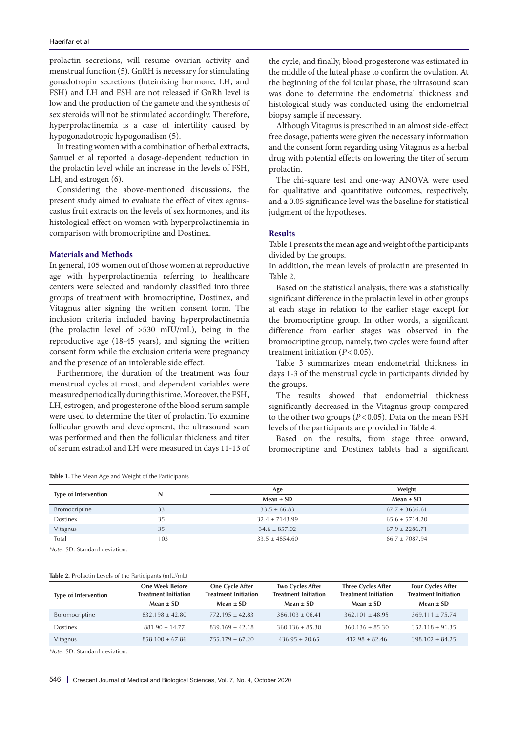prolactin secretions, will resume ovarian activity and menstrual function (5). GnRH is necessary for stimulating gonadotropin secretions (luteinizing hormone, LH, and FSH) and LH and FSH are not released if GnRh level is low and the production of the gamete and the synthesis of sex steroids will not be stimulated accordingly. Therefore, hyperprolactinemia is a case of infertility caused by hypogonadotropic hypogonadism (5).

In treating women with a combination of herbal extracts, Samuel et al reported a dosage-dependent reduction in the prolactin level while an increase in the levels of FSH, LH, and estrogen (6).

Considering the above-mentioned discussions, the present study aimed to evaluate the effect of vitex agnuscastus fruit extracts on the levels of sex hormones, and its histological effect on women with hyperprolactinemia in comparison with bromocriptine and Dostinex.

# **Materials and Methods**

In general, 105 women out of those women at reproductive age with hyperprolactinemia referring to healthcare centers were selected and randomly classified into three groups of treatment with bromocriptine, Dostinex, and Vitagnus after signing the written consent form. The inclusion criteria included having hyperprolactinemia (the prolactin level of >530 mIU/mL), being in the reproductive age (18-45 years), and signing the written consent form while the exclusion criteria were pregnancy and the presence of an intolerable side effect.

Furthermore, the duration of the treatment was four menstrual cycles at most, and dependent variables were measured periodically during this time. Moreover, the FSH, LH, estrogen, and progesterone of the blood serum sample were used to determine the titer of prolactin. To examine follicular growth and development, the ultrasound scan was performed and then the follicular thickness and titer of serum estradiol and LH were measured in days 11-13 of the cycle, and finally, blood progesterone was estimated in the middle of the luteal phase to confirm the ovulation. At the beginning of the follicular phase, the ultrasound scan was done to determine the endometrial thickness and histological study was conducted using the endometrial biopsy sample if necessary.

Although Vitagnus is prescribed in an almost side-effect free dosage, patients were given the necessary information and the consent form regarding using Vitagnus as a herbal drug with potential effects on lowering the titer of serum prolactin.

The chi-square test and one-way ANOVA were used for qualitative and quantitative outcomes, respectively, and a 0.05 significance level was the baseline for statistical judgment of the hypotheses.

## **Results**

Table 1 presents the mean age and weight of the participants divided by the groups.

In addition, the mean levels of prolactin are presented in Table 2.

Based on the statistical analysis, there was a statistically significant difference in the prolactin level in other groups at each stage in relation to the earlier stage except for the bromocriptine group. In other words, a significant difference from earlier stages was observed in the bromocriptine group, namely, two cycles were found after treatment initiation  $(P<0.05)$ .

Table 3 summarizes mean endometrial thickness in days 1-3 of the menstrual cycle in participants divided by the groups.

The results showed that endometrial thickness significantly decreased in the Vitagnus group compared to the other two groups  $(P<0.05)$ . Data on the mean FSH levels of the participants are provided in Table 4.

Based on the results, from stage three onward, bromocriptine and Dostinex tablets had a significant

| Table 1. The Mean Age and Weight of the Participants |  |
|------------------------------------------------------|--|
|------------------------------------------------------|--|

| <b>Type of Intervention</b> |     | Age                | Weight             |  |
|-----------------------------|-----|--------------------|--------------------|--|
|                             | N   | $Mean \pm SD$      | $Mean \pm SD$      |  |
| Bromocriptine               | 33  | $33.5 \pm 66.83$   | $67.7 \pm 3636.61$ |  |
| Dostinex                    | 35  | $32.4 \pm 7143.99$ | $65.6 \pm 5714.20$ |  |
| Vitagnus                    | 35  | $34.6 \pm 857.02$  | $67.9 + 2286.71$   |  |
| Total                       | 103 | $33.5 \pm 4854.60$ | $66.7 \pm 7087.94$ |  |

*Note*. SD: Standard deviation.

### **Table 2.** Prolactin Levels of the Participants (mIU/mL)

|                             | <b>One Week Before</b>      | <b>One Cycle After</b>      | <b>Two Cycles After</b>     | <b>Three Cycles After</b>   | <b>Four Cycles After</b>    |
|-----------------------------|-----------------------------|-----------------------------|-----------------------------|-----------------------------|-----------------------------|
| <b>Type of Intervention</b> | <b>Treatment Initiation</b> | <b>Treatment Initiation</b> | <b>Treatment Initiation</b> | <b>Treatment Initiation</b> | <b>Treatment Initiation</b> |
|                             | Mean $\pm$ SD               | Mean $\pm$ SD               | Mean $\pm$ SD               | Mean $\pm$ SD               | $Mean \pm SD$               |
| Boromocriptine              | $832.198 \pm 42.80$         | $772.195 \pm 42.83$         | $386.103 + 06.41$           | $362.101 + 48.95$           | $369.111 + 75.74$           |
| Dostinex                    | $881.90 + 14.77$            | $839.169 + 42.18$           | $360.136 + 85.30$           | $360.136 + 85.30$           | $352.118 + 91.35$           |
| Vitagnus                    | $858.100 \pm 67.86$         | $755.179 \pm 67.20$         | $436.95 + 20.65$            | $412.98 + 82.46$            | $398.102 \pm 84.25$         |

*Note*. SD: Standard deviation.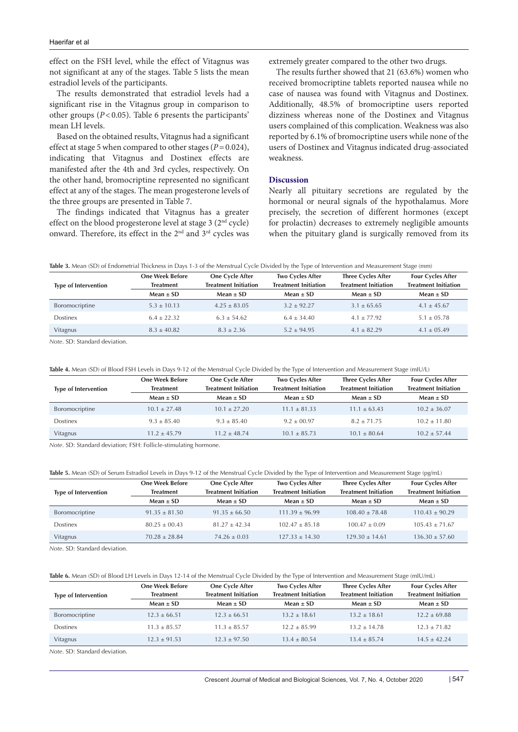effect on the FSH level, while the effect of Vitagnus was not significant at any of the stages. Table 5 lists the mean estradiol levels of the participants.

The results demonstrated that estradiol levels had a significant rise in the Vitagnus group in comparison to other groups (*P*<0.05). Table 6 presents the participants' mean LH levels.

Based on the obtained results, Vitagnus had a significant effect at stage 5 when compared to other stages  $(P=0.024)$ , indicating that Vitagnus and Dostinex effects are manifested after the 4th and 3rd cycles, respectively. On the other hand, bromocriptine represented no significant effect at any of the stages. The mean progesterone levels of the three groups are presented in Table 7.

The findings indicated that Vitagnus has a greater effect on the blood progesterone level at stage 3 (2<sup>nd</sup> cycle) onward. Therefore, its effect in the 2nd and 3rd cycles was extremely greater compared to the other two drugs.

The results further showed that 21 (63.6%) women who received bromocriptine tablets reported nausea while no case of nausea was found with Vitagnus and Dostinex. Additionally, 48.5% of bromocriptine users reported dizziness whereas none of the Dostinex and Vitagnus users complained of this complication. Weakness was also reported by 6.1% of bromocriptine users while none of the users of Dostinex and Vitagnus indicated drug-associated weakness.

# **Discussion**

Nearly all pituitary secretions are regulated by the hormonal or neural signals of the hypothalamus. More precisely, the secretion of different hormones (except for prolactin) decreases to extremely negligible amounts when the pituitary gland is surgically removed from its

|  |  | Table 3. Mean (SD) of Endometrial Thickness in Days 1-3 of the Menstrual Cycle Divided by the Type of Intervention and Measurement Stage (mm) |
|--|--|-----------------------------------------------------------------------------------------------------------------------------------------------|
|--|--|-----------------------------------------------------------------------------------------------------------------------------------------------|

|                             | <b>One Week Before</b> | One Cycle After             | <b>Two Cycles After</b>     | <b>Three Cycles After</b>   | <b>Four Cycles After</b>    |
|-----------------------------|------------------------|-----------------------------|-----------------------------|-----------------------------|-----------------------------|
| <b>Type of Intervention</b> | <b>Treatment</b>       | <b>Treatment Initiation</b> | <b>Treatment Initiation</b> | <b>Treatment Initiation</b> | <b>Treatment Initiation</b> |
|                             | $Mean \pm SD$          | $Mean \pm SD$               | $Mean \pm SD$               | $Mean \pm SD$               | $Mean \pm SD$               |
| Boromocriptine              | $5.3 \pm 10.13$        | $4.25 \pm 83.05$            | $3.2 + 92.27$               | $3.1 \pm 65.65$             | $4.1 \pm 45.67$             |
| Dostinex                    | $6.4 + 22.32$          | $6.3 + 54.62$               | $6.4 + 34.40$               | $4.1 + 77.92$               | $5.1 + 05.78$               |
| Vitagnus                    | $8.3 \pm 40.82$        | $8.3 \pm 2.36$              | $5.2 + 94.95$               | $4.1 + 82.29$               | $4.1 + 0.5.49$              |

*Note*. SD: Standard deviation.

|  | Table 4. Mean (SD) of Blood FSH Levels in Days 9-12 of the Menstrual Cycle Divided by the Type of Intervention and Measurement Stage (mIU/L) |
|--|----------------------------------------------------------------------------------------------------------------------------------------------|
|--|----------------------------------------------------------------------------------------------------------------------------------------------|

| <b>Type of Intervention</b> | <b>One Week Before</b><br><b>Treatment</b> | One Cycle After<br><b>Treatment Initiation</b> | <b>Two Cycles After</b><br><b>Treatment Initiation</b> | <b>Three Cycles After</b><br><b>Treatment Initiation</b> | <b>Four Cycles After</b><br><b>Treatment Initiation</b> |
|-----------------------------|--------------------------------------------|------------------------------------------------|--------------------------------------------------------|----------------------------------------------------------|---------------------------------------------------------|
|                             | $Mean \pm SD$                              | Mean $\pm$ SD                                  | $Mean \pm SD$                                          | $Mean \pm SD$                                            | $Mean \pm SD$                                           |
| Boromocriptine              | $10.1 + 27.48$                             | $10.1 + 27.20$                                 | $11.1 + 81.33$                                         | $11.1 + 63.43$                                           | $10.2 + 36.07$                                          |
| Dostinex                    | $9.3 + 85.40$                              | $9.3 + 85.40$                                  | $9.2 + 00.97$                                          | $8.2 + 71.75$                                            | $10.2 + 11.80$                                          |
| Vitagnus                    | $11.2 + 45.79$                             | $11.2 + 48.74$                                 | $10.1 + 85.73$                                         | $10.1 + 80.64$                                           | $10.2 + 57.44$                                          |

*Note*. SD: Standard deviation; FSH: Follicle-stimulating hormone.

#### **Table 5.** Mean (SD) of Serum Estradiol Levels in Days 9-12 of the Menstrual Cycle Divided by the Type of Intervention and Measurement Stage (pg/mL)

|                             | <b>One Week Before</b> | One Cycle After             | <b>Two Cycles After</b>     | <b>Three Cycles After</b>   | <b>Four Cycles After</b>    |
|-----------------------------|------------------------|-----------------------------|-----------------------------|-----------------------------|-----------------------------|
| <b>Type of Intervention</b> | <b>Treatment</b>       | <b>Treatment Initiation</b> | <b>Treatment Initiation</b> | <b>Treatment Initiation</b> | <b>Treatment Initiation</b> |
|                             | $Mean \pm SD$          | Mean $\pm$ SD               | Mean $\pm$ SD               | Mean $\pm$ SD               | Mean $\pm$ SD               |
| Boromocriptine              | $91.35 \pm 81.50$      | $91.35 \pm 66.50$           | $111.39 \pm 96.99$          | $108.40 + 78.48$            | $110.43 + 90.29$            |
| Dostinex                    | $80.25 + 00.43$        | $81.27 + 42.34$             | $102.47 + 85.18$            | $100.47 + 0.09$             | $105.43 + 71.67$            |
| Vitagnus                    | $70.28 + 28.84$        | $74.26 + 0.03$              | $127.33 + 14.30$            | $129.30 + 14.61$            | $136.30 + 57.60$            |

*Note*. SD: Standard deviation.

### **Table 6.** Mean (SD) of Blood LH Levels in Days 12-14 of the Menstrual Cycle Divided by the Type of Intervention and Measurement Stage (mIU/mL)

|                             | <b>One Week Before</b> | One Cycle After             | <b>Two Cycles After</b>     | <b>Three Cycles After</b>   | <b>Four Cycles After</b>    |
|-----------------------------|------------------------|-----------------------------|-----------------------------|-----------------------------|-----------------------------|
| <b>Type of Intervention</b> | <b>Treatment</b>       | <b>Treatment Initiation</b> | <b>Treatment Initiation</b> | <b>Treatment Initiation</b> | <b>Treatment Initiation</b> |
|                             | Mean $\pm$ SD          | Mean $\pm$ SD               | Mean $\pm$ SD               | Mean $\pm$ SD               | Mean $\pm$ SD               |
| Boromocriptine              | $12.3 \pm 66.51$       | $12.3 \pm 66.51$            | $13.2 + 18.61$              | $13.2 + 18.61$              | $12.2 \pm 69.88$            |
| Dostinex                    | $11.3 + 85.57$         | $11.3 + 85.57$              | $12.2 + 85.99$              | $13.2 + 14.78$              | $12.3 + 71.82$              |
| Vitagnus                    | $12.3 \pm 91.53$       | $12.3 + 97.50$              | $13.4 + 80.54$              | $13.4 + 85.74$              | $14.5 + 42.24$              |

*Note*. SD: Standard deviation.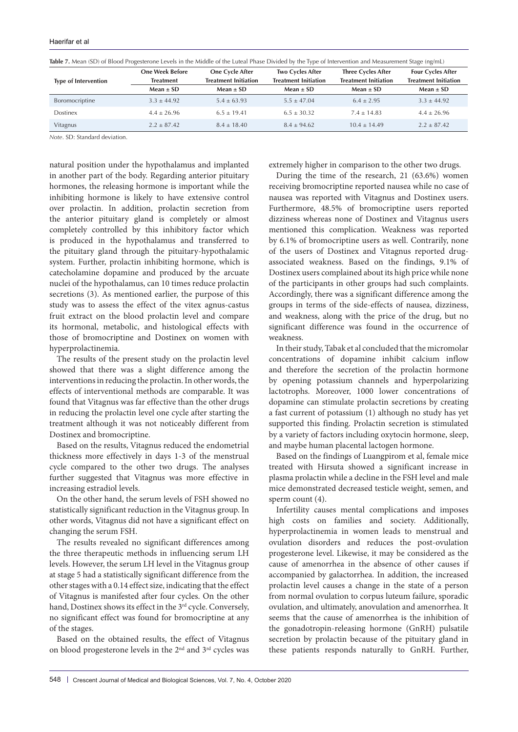|                             | <b>One Week Before</b> | One Cycle After             | <b>Two Cycles After</b>     | <b>Three Cycles After</b>   | <b>Four Cycles After</b>    |
|-----------------------------|------------------------|-----------------------------|-----------------------------|-----------------------------|-----------------------------|
| <b>Type of Intervention</b> | <b>Treatment</b>       | <b>Treatment Initiation</b> | <b>Treatment Initiation</b> | <b>Treatment Initiation</b> | <b>Treatment Initiation</b> |
|                             | Mean $\pm$ SD          | Mean $\pm$ SD               | Mean $\pm$ SD               | Mean $\pm$ SD               | $Mean \pm SD$               |
| Boromocriptine              | $3.3 \pm 44.92$        | $5.4 \pm 63.93$             | $5.5 \pm 47.04$             | $6.4 \pm 2.95$              | $3.3 \pm 44.92$             |
| <b>Dostinex</b>             | $4.4 \pm 26.96$        | $6.5 \pm 19.41$             | $6.5 \pm 30.32$             | $7.4 \pm 14.83$             | $4.4 \pm 26.96$             |
| Vitagnus                    | $2.2 \pm 87.42$        | $8.4 \pm 18.40$             | $8.4 \pm 94.62$             | $10.4 + 14.49$              | $2.2 \pm 87.42$             |

**Table 7.** Mean (SD) of Blood Progesterone Levels in the Middle of the Luteal Phase Divided by the Type of Intervention and Measurement Stage (ng/mL)

*Note*. SD: Standard deviation.

natural position under the hypothalamus and implanted in another part of the body. Regarding anterior pituitary hormones, the releasing hormone is important while the inhibiting hormone is likely to have extensive control over prolactin. In addition, prolactin secretion from the anterior pituitary gland is completely or almost completely controlled by this inhibitory factor which is produced in the hypothalamus and transferred to the pituitary gland through the pituitary-hypothalamic system. Further, prolactin inhibiting hormone, which is catecholamine dopamine and produced by the arcuate nuclei of the hypothalamus, can 10 times reduce prolactin secretions (3). As mentioned earlier, the purpose of this study was to assess the effect of the vitex agnus-castus fruit extract on the blood prolactin level and compare its hormonal, metabolic, and histological effects with those of bromocriptine and Dostinex on women with hyperprolactinemia.

The results of the present study on the prolactin level showed that there was a slight difference among the interventions in reducing the prolactin. In other words, the effects of interventional methods are comparable. It was found that Vitagnus was far effective than the other drugs in reducing the prolactin level one cycle after starting the treatment although it was not noticeably different from Dostinex and bromocriptine.

Based on the results, Vitagnus reduced the endometrial thickness more effectively in days 1-3 of the menstrual cycle compared to the other two drugs. The analyses further suggested that Vitagnus was more effective in increasing estradiol levels.

On the other hand, the serum levels of FSH showed no statistically significant reduction in the Vitagnus group. In other words, Vitagnus did not have a significant effect on changing the serum FSH.

The results revealed no significant differences among the three therapeutic methods in influencing serum LH levels. However, the serum LH level in the Vitagnus group at stage 5 had a statistically significant difference from the other stages with a 0.14 effect size, indicating that the effect of Vitagnus is manifested after four cycles. On the other hand, Dostinex shows its effect in the 3<sup>rd</sup> cycle. Conversely, no significant effect was found for bromocriptine at any of the stages.

Based on the obtained results, the effect of Vitagnus on blood progesterone levels in the 2nd and 3rd cycles was extremely higher in comparison to the other two drugs.

During the time of the research, 21 (63.6%) women receiving bromocriptine reported nausea while no case of nausea was reported with Vitagnus and Dostinex users. Furthermore, 48.5% of bromocriptine users reported dizziness whereas none of Dostinex and Vitagnus users mentioned this complication. Weakness was reported by 6.1% of bromocriptine users as well. Contrarily, none of the users of Dostinex and Vitagnus reported drugassociated weakness. Based on the findings, 9.1% of Dostinex users complained about its high price while none of the participants in other groups had such complaints. Accordingly, there was a significant difference among the groups in terms of the side-effects of nausea, dizziness, and weakness, along with the price of the drug, but no significant difference was found in the occurrence of weakness.

In their study, Tabak et al concluded that the micromolar concentrations of dopamine inhibit calcium inflow and therefore the secretion of the prolactin hormone by opening potassium channels and hyperpolarizing lactotrophs. Moreover, 1000 lower concentrations of dopamine can stimulate prolactin secretions by creating a fast current of potassium (1) although no study has yet supported this finding. Prolactin secretion is stimulated by a variety of factors including oxytocin hormone, sleep, and maybe human placental lactogen hormone.

Based on the findings of Luangpirom et al, female mice treated with Hirsuta showed a significant increase in plasma prolactin while a decline in the FSH level and male mice demonstrated decreased testicle weight, semen, and sperm count (4).

Infertility causes mental complications and imposes high costs on families and society. Additionally, hyperprolactinemia in women leads to menstrual and ovulation disorders and reduces the post-ovulation progesterone level. Likewise, it may be considered as the cause of amenorrhea in the absence of other causes if accompanied by galactorrhea. In addition, the increased prolactin level causes a change in the state of a person from normal ovulation to corpus luteum failure, sporadic ovulation, and ultimately, anovulation and amenorrhea. It seems that the cause of amenorrhea is the inhibition of the gonadotropin-releasing hormone (GnRH) pulsatile secretion by prolactin because of the pituitary gland in these patients responds naturally to GnRH. Further,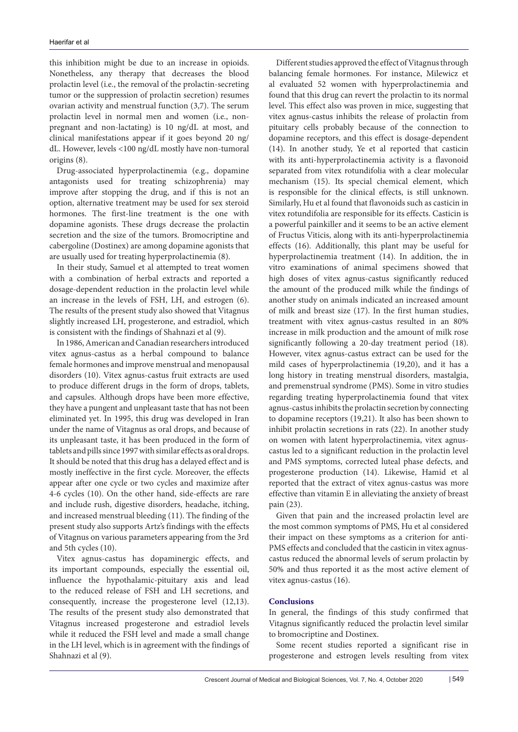this inhibition might be due to an increase in opioids. Nonetheless, any therapy that decreases the blood prolactin level (i.e., the removal of the prolactin-secreting tumor or the suppression of prolactin secretion) resumes ovarian activity and menstrual function (3,7). The serum prolactin level in normal men and women (i.e., nonpregnant and non-lactating) is 10 ng/dL at most, and clinical manifestations appear if it goes beyond 20 ng/ dL. However, levels <100 ng/dL mostly have non-tumoral origins (8).

Drug-associated hyperprolactinemia (e.g., dopamine antagonists used for treating schizophrenia) may improve after stopping the drug, and if this is not an option, alternative treatment may be used for sex steroid hormones. The first-line treatment is the one with dopamine agonists. These drugs decrease the prolactin secretion and the size of the tumors. Bromocriptine and cabergoline (Dostinex) are among dopamine agonists that are usually used for treating hyperprolactinemia (8).

In their study, Samuel et al attempted to treat women with a combination of herbal extracts and reported a dosage-dependent reduction in the prolactin level while an increase in the levels of FSH, LH, and estrogen (6). The results of the present study also showed that Vitagnus slightly increased LH, progesterone, and estradiol, which is consistent with the findings of Shahnazi et al (9).

In 1986, American and Canadian researchers introduced vitex agnus-castus as a herbal compound to balance female hormones and improve menstrual and menopausal disorders (10). Vitex agnus-castus fruit extracts are used to produce different drugs in the form of drops, tablets, and capsules. Although drops have been more effective, they have a pungent and unpleasant taste that has not been eliminated yet. In 1995, this drug was developed in Iran under the name of Vitagnus as oral drops, and because of its unpleasant taste, it has been produced in the form of tablets and pills since 1997 with similar effects as oral drops. It should be noted that this drug has a delayed effect and is mostly ineffective in the first cycle. Moreover, the effects appear after one cycle or two cycles and maximize after 4-6 cycles (10). On the other hand, side-effects are rare and include rush, digestive disorders, headache, itching, and increased menstrual bleeding (11). The finding of the present study also supports Artz's findings with the effects of Vitagnus on various parameters appearing from the 3rd and 5th cycles (10).

Vitex agnus-castus has dopaminergic effects, and its important compounds, especially the essential oil, influence the hypothalamic-pituitary axis and lead to the reduced release of FSH and LH secretions, and consequently, increase the progesterone level (12,13). The results of the present study also demonstrated that Vitagnus increased progesterone and estradiol levels while it reduced the FSH level and made a small change in the LH level, which is in agreement with the findings of Shahnazi et al (9).

Different studies approved the effect of Vitagnus through balancing female hormones. For instance, Milewicz et al evaluated 52 women with hyperprolactinemia and found that this drug can revert the prolactin to its normal level. This effect also was proven in mice, suggesting that vitex agnus-castus inhibits the release of prolactin from pituitary cells probably because of the connection to dopamine receptors, and this effect is dosage-dependent (14). In another study, Ye et al reported that casticin with its anti-hyperprolactinemia activity is a flavonoid separated from vitex rotundifolia with a clear molecular mechanism (15). Its special chemical element, which is responsible for the clinical effects, is still unknown. Similarly, Hu et al found that flavonoids such as casticin in vitex rotundifolia are responsible for its effects. Casticin is a powerful painkiller and it seems to be an active element of Fructus Viticis, along with its anti-hyperprolactinemia effects (16). Additionally, this plant may be useful for hyperprolactinemia treatment (14). In addition, the in vitro examinations of animal specimens showed that high doses of vitex agnus-castus significantly reduced the amount of the produced milk while the findings of another study on animals indicated an increased amount of milk and breast size (17). In the first human studies, treatment with vitex agnus-castus resulted in an 80% increase in milk production and the amount of milk rose significantly following a 20-day treatment period (18). However, vitex agnus-castus extract can be used for the mild cases of hyperprolactinemia (19,20), and it has a long history in treating menstrual disorders, mastalgia, and premenstrual syndrome (PMS). Some in vitro studies regarding treating hyperprolactinemia found that vitex agnus-castus inhibits the prolactin secretion by connecting to dopamine receptors (19,21). It also has been shown to inhibit prolactin secretions in rats (22). In another study on women with latent hyperprolactinemia, vitex agnuscastus led to a significant reduction in the prolactin level and PMS symptoms, corrected luteal phase defects, and progesterone production (14). Likewise, Hamid et al reported that the extract of vitex agnus-castus was more effective than vitamin E in alleviating the anxiety of breast pain (23).

Given that pain and the increased prolactin level are the most common symptoms of PMS, Hu et al considered their impact on these symptoms as a criterion for anti-PMS effects and concluded that the casticin in vitex agnuscastus reduced the abnormal levels of serum prolactin by 50% and thus reported it as the most active element of vitex agnus-castus (16).

# **Conclusions**

In general, the findings of this study confirmed that Vitagnus significantly reduced the prolactin level similar to bromocriptine and Dostinex.

Some recent studies reported a significant rise in progesterone and estrogen levels resulting from vitex